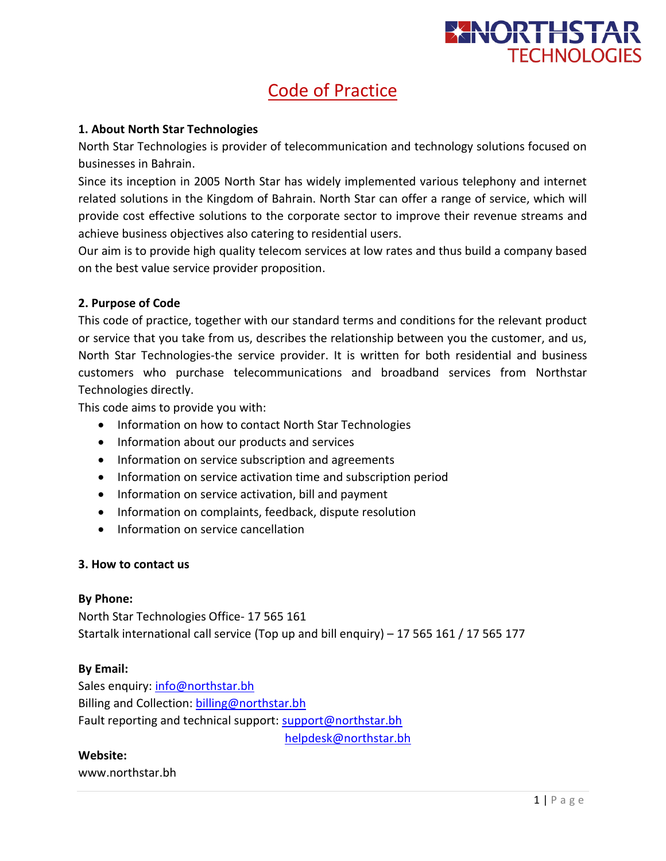

# Code of Practice

## **1. About North Star Technologies**

North Star Technologies is provider of telecommunication and technology solutions focused on businesses in Bahrain.

Since its inception in 2005 North Star has widely implemented various telephony and internet related solutions in the Kingdom of Bahrain. North Star can offer a range of service, which will provide cost effective solutions to the corporate sector to improve their revenue streams and achieve business objectives also catering to residential users.

Our aim is to provide high quality telecom services at low rates and thus build a company based on the best value service provider proposition.

# **2. Purpose of Code**

This code of practice, together with our standard terms and conditions for the relevant product or service that you take from us, describes the relationship between you the customer, and us, North Star Technologies-the service provider. It is written for both residential and business customers who purchase telecommunications and broadband services from Northstar Technologies directly.

This code aims to provide you with:

- Information on how to contact North Star Technologies
- Information about our products and services
- Information on service subscription and agreements
- Information on service activation time and subscription period
- Information on service activation, bill and payment
- Information on complaints, feedback, dispute resolution
- Information on service cancellation

#### **3. How to contact us**

#### **By Phone:**

North Star Technologies Office- 17 565 161 Startalk international call service (Top up and bill enquiry) – 17 565 161 / 17 565 177

#### **By Email:**

Sales enquiry: [info@northstar.bh](mailto:info@northstar.bh) Billing and Collection: [billing@northstar.bh](mailto:billing@northstar.bh) Fault reporting and technical support: [support@northstar.bh](mailto:support@northstar.bh) [helpdesk@northstar.bh](mailto:helpdesk@northstar.bh)

**Website:**

www.northstar.bh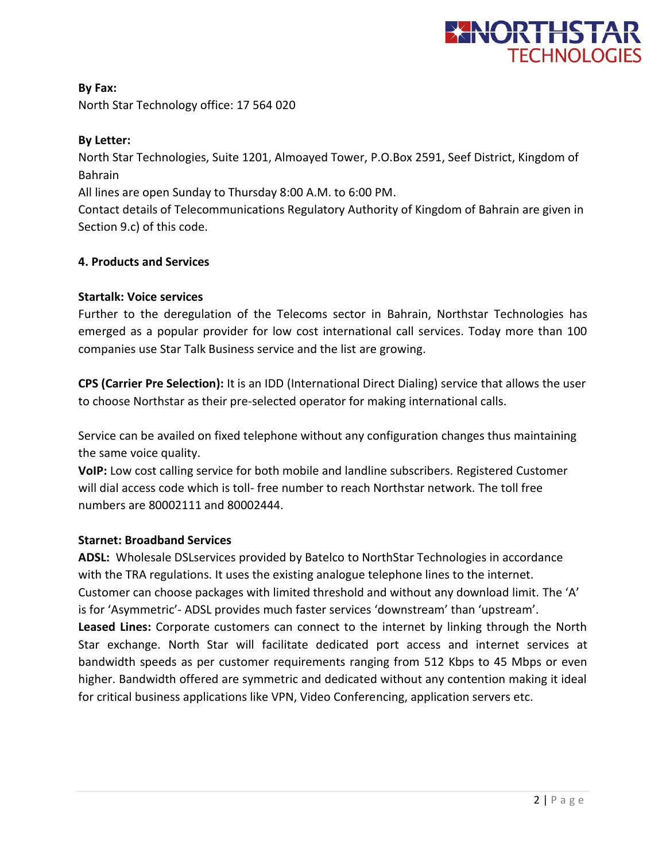

**By Fax:** North Star Technology office: 17 564 020

# **By Letter:**

North Star Technologies, Suite 1201, Almoayed Tower, P.O.Box 2591, Seef District, Kingdom of Bahrain

All lines are open Sunday to Thursday 8:00 A.M. to 6:00 PM.

Contact details of Telecommunications Regulatory Authority of Kingdom of Bahrain are given in Section 9.c) of this code.

# **4. Products and Services**

# **Startalk: Voice services**

Further to the deregulation of the Telecoms sector in Bahrain, Northstar Technologies has emerged as a popular provider for low cost international call services. Today more than 100 companies use Star Talk Business service and the list are growing.

**CPS (Carrier Pre Selection):** It is an IDD (International Direct Dialing) service that allows the user to choose Northstar as their pre-selected operator for making international calls.

Service can be availed on fixed telephone without any configuration changes thus maintaining the same voice quality.

**VoIP:** Low cost calling service for both mobile and landline subscribers. Registered Customer will dial access code which is toll- free number to reach Northstar network. The toll free numbers are 80002111 and 80002444.

# **Starnet: Broadband Services**

**ADSL:** Wholesale DSLservices provided by Batelco to NorthStar Technologies in accordance with the TRA regulations. It uses the existing analogue telephone lines to the internet. Customer can choose packages with limited threshold and without any download limit. The 'A' is for 'Asymmetric'- ADSL provides much faster services 'downstream' than 'upstream'. **Leased Lines:** Corporate customers can connect to the internet by linking through the North Star exchange. North Star will facilitate dedicated port access and internet services at bandwidth speeds as per customer requirements ranging from 512 Kbps to 45 Mbps or even higher. Bandwidth offered are symmetric and dedicated without any contention making it ideal for critical business applications like VPN, Video Conferencing, application servers etc.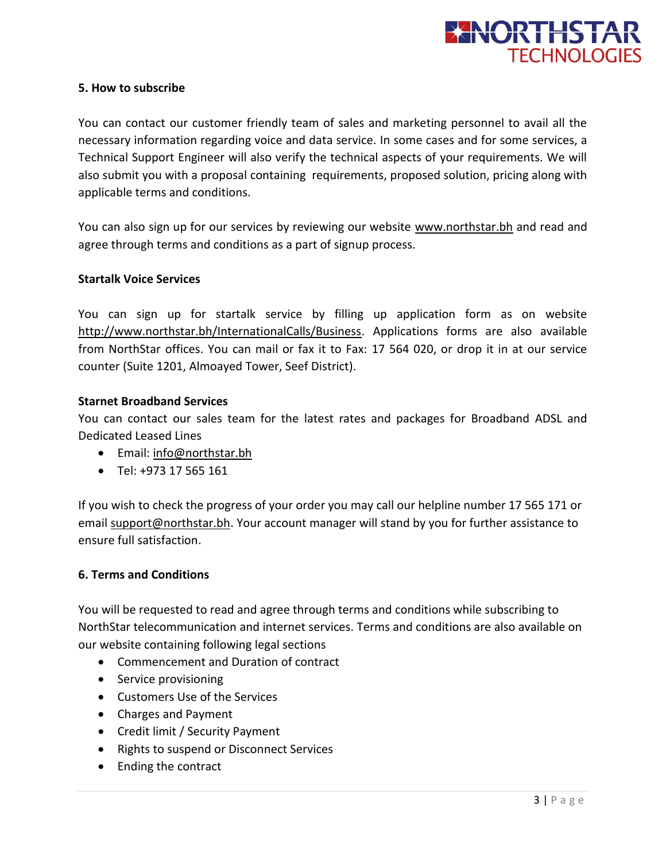

#### **5. How to subscribe**

You can contact our customer friendly team of sales and marketing personnel to avail all the necessary information regarding voice and data service. In some cases and for some services, a Technical Support Engineer will also verify the technical aspects of your requirements. We will also submit you with a proposal containing requirements, proposed solution, pricing along with applicable terms and conditions.

You can also sign up for our services by reviewing our website [www.northstar.bh](http://www.northstar.bh/) and read and agree through terms and conditions as a part of signup process.

#### **Startalk Voice Services**

You can sign up for startalk service by filling up application form as on website [http://www.northstar.bh/InternationalCalls/Business.](http://www.northstar.bh/InternationalCalls/Business) Applications forms are also available from NorthStar offices. You can mail or fax it to Fax: 17 564 020, or drop it in at our service counter (Suite 1201, Almoayed Tower, Seef District).

# **Starnet Broadband Services**

You can contact our sales team for the latest rates and packages for Broadband ADSL and Dedicated Leased Lines

- Email: [info@northstar.bh](mailto:info@northstar.bh)
- Tel: +973 17 565 161

If you wish to check the progress of your order you may call our helpline number 17 565 171 or email [support@northstar.bh.](mailto:support@northstar.bh) Your account manager will stand by you for further assistance to ensure full satisfaction.

#### **6. Terms and Conditions**

You will be requested to read and agree through terms and conditions while subscribing to NorthStar telecommunication and internet services. Terms and conditions are also available on our website containing following legal sections

- Commencement and Duration of contract
- Service provisioning
- Customers Use of the Services
- Charges and Payment
- Credit limit / Security Payment
- Rights to suspend or Disconnect Services
- Ending the contract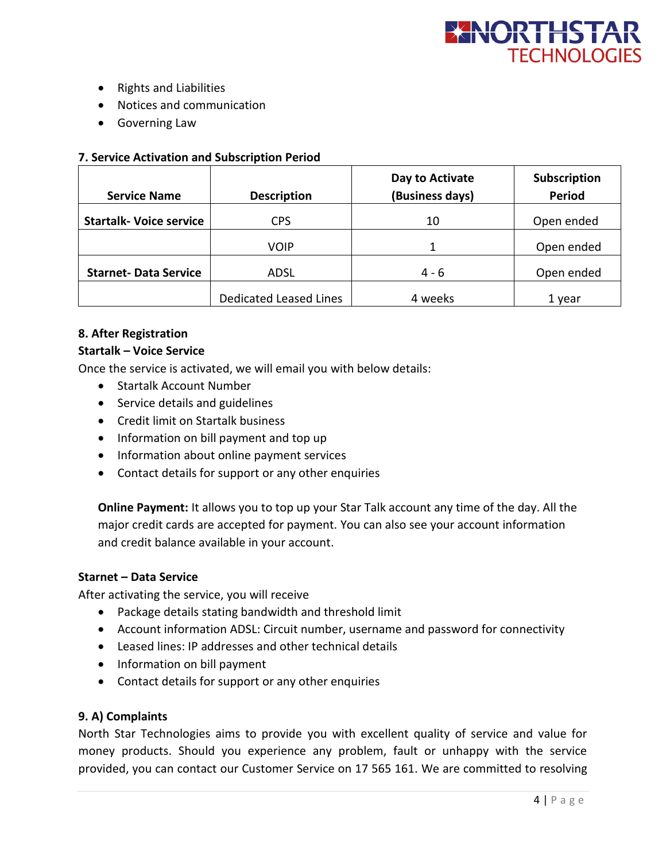

- Rights and Liabilities
- Notices and communication
- Governing Law

#### **7. Service Activation and Subscription Period**

| <b>Service Name</b>            | <b>Description</b>            | Day to Activate<br>(Business days) | Subscription<br><b>Period</b> |
|--------------------------------|-------------------------------|------------------------------------|-------------------------------|
| <b>Startalk- Voice service</b> | <b>CPS</b>                    | 10                                 | Open ended                    |
|                                | <b>VOIP</b>                   |                                    | Open ended                    |
| <b>Starnet-Data Service</b>    | ADSL                          | 4 - 6                              | Open ended                    |
|                                | <b>Dedicated Leased Lines</b> | 4 weeks                            | 1 year                        |

#### **8. After Registration**

#### **Startalk – Voice Service**

Once the service is activated, we will email you with below details:

- Startalk Account Number
- Service details and guidelines
- Credit limit on Startalk business
- Information on bill payment and top up
- Information about online payment services
- Contact details for support or any other enquiries

**Online Payment:** It allows you to top up your Star Talk account any time of the day. All the major credit cards are accepted for payment. You can also see your account information and credit balance available in your account.

#### **Starnet – Data Service**

After activating the service, you will receive

- Package details stating bandwidth and threshold limit
- Account information ADSL: Circuit number, username and password for connectivity
- Leased lines: IP addresses and other technical details
- Information on bill payment
- Contact details for support or any other enquiries

#### **9. A) Complaints**

North Star Technologies aims to provide you with excellent quality of service and value for money products. Should you experience any problem, fault or unhappy with the service provided, you can contact our Customer Service on 17 565 161. We are committed to resolving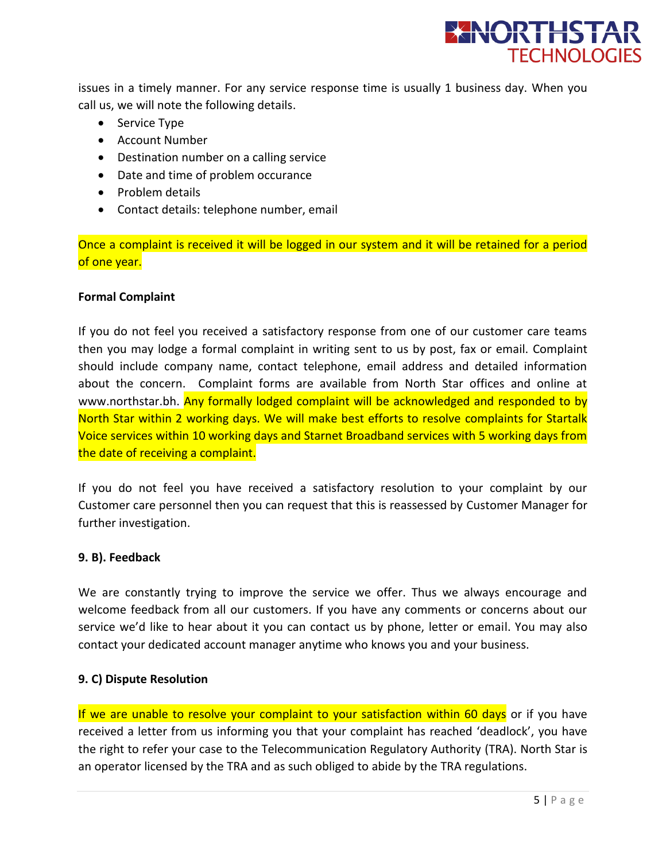

issues in a timely manner. For any service response time is usually 1 business day. When you call us, we will note the following details.

- Service Type
- Account Number
- Destination number on a calling service
- Date and time of problem occurance
- Problem details
- Contact details: telephone number, email

Once a complaint is received it will be logged in our system and it will be retained for a period of one year.

#### **Formal Complaint**

If you do not feel you received a satisfactory response from one of our customer care teams then you may lodge a formal complaint in writing sent to us by post, fax or email. Complaint should include company name, contact telephone, email address and detailed information about the concern. Complaint forms are available from North Star offices and online at www.northstar.bh. Any formally lodged complaint will be acknowledged and responded to by North Star within 2 working days. We will make best efforts to resolve complaints for Startalk Voice services within 10 working days and Starnet Broadband services with 5 working days from the date of receiving a complaint.

If you do not feel you have received a satisfactory resolution to your complaint by our Customer care personnel then you can request that this is reassessed by Customer Manager for further investigation.

#### **9. B). Feedback**

We are constantly trying to improve the service we offer. Thus we always encourage and welcome feedback from all our customers. If you have any comments or concerns about our service we'd like to hear about it you can contact us by phone, letter or email. You may also contact your dedicated account manager anytime who knows you and your business.

# **9. C) Dispute Resolution**

If we are unable to resolve your complaint to your satisfaction within 60 days or if you have received a letter from us informing you that your complaint has reached 'deadlock', you have the right to refer your case to the Telecommunication Regulatory Authority (TRA). North Star is an operator licensed by the TRA and as such obliged to abide by the TRA regulations.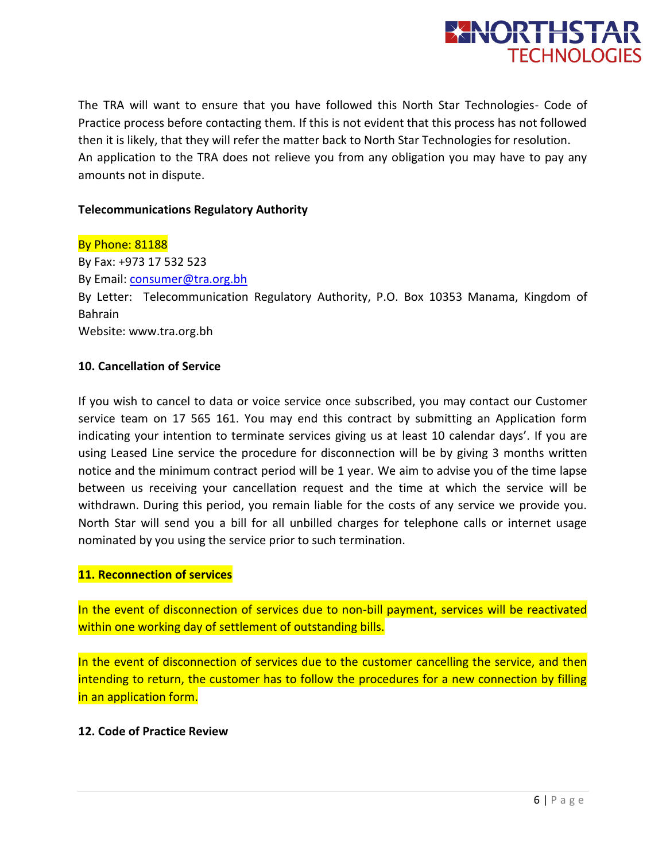

The TRA will want to ensure that you have followed this North Star Technologies- Code of Practice process before contacting them. If this is not evident that this process has not followed then it is likely, that they will refer the matter back to North Star Technologies for resolution. An application to the TRA does not relieve you from any obligation you may have to pay any amounts not in dispute.

## **Telecommunications Regulatory Authority**

By Phone: 81188 By Fax: +973 17 532 523 By Email: [consumer@tra.org.bh](mailto:consumer@tra.org.bh) By Letter: Telecommunication Regulatory Authority, P.O. Box 10353 Manama, Kingdom of Bahrain Website: www.tra.org.bh

#### **10. Cancellation of Service**

If you wish to cancel to data or voice service once subscribed, you may contact our Customer service team on 17 565 161. You may end this contract by submitting an Application form indicating your intention to terminate services giving us at least 10 calendar days'. If you are using Leased Line service the procedure for disconnection will be by giving 3 months written notice and the minimum contract period will be 1 year. We aim to advise you of the time lapse between us receiving your cancellation request and the time at which the service will be withdrawn. During this period, you remain liable for the costs of any service we provide you. North Star will send you a bill for all unbilled charges for telephone calls or internet usage nominated by you using the service prior to such termination.

# **11. Reconnection of services**

In the event of disconnection of services due to non-bill payment, services will be reactivated within one working day of settlement of outstanding bills.

In the event of disconnection of services due to the customer cancelling the service, and then intending to return, the customer has to follow the procedures for a new connection by filling in an application form.

#### **12. Code of Practice Review**